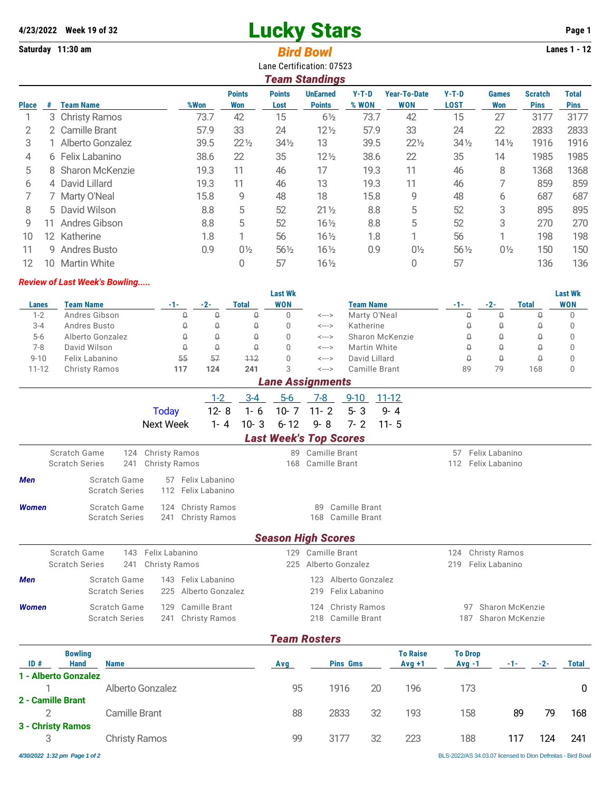# **4/23/2022** Week 19 of 32 **Lucky Stars Page 1**

**Saturday 11:30 am** *Bird Bowl* **Lanes 1 - 12**

| Lane Certification: 07523<br><b>Team Standings</b> |    |                     |      |                      |                       |                                  |                  |                                   |                        |                     |                               |                             |
|----------------------------------------------------|----|---------------------|------|----------------------|-----------------------|----------------------------------|------------------|-----------------------------------|------------------------|---------------------|-------------------------------|-----------------------------|
| <b>Place</b>                                       | #  | <b>Team Name</b>    | %Won | <b>Points</b><br>Won | <b>Points</b><br>Lost | <b>UnEarned</b><br><b>Points</b> | $Y-T-D$<br>% WON | <b>Year-To-Date</b><br><b>WON</b> | $Y-T-D$<br><b>LOST</b> | <b>Games</b><br>Won | <b>Scratch</b><br><b>Pins</b> | <b>Total</b><br><b>Pins</b> |
|                                                    |    | 3 Christy Ramos     | 73.7 | 42                   | 15                    | $6\frac{1}{2}$                   | 73.7             | 42                                | 15                     | 27                  | 3177                          | 3177                        |
| 2                                                  |    | 2 Camille Brant     | 57.9 | 33                   | 24                    | $12\frac{1}{2}$                  | 57.9             | 33                                | 24                     | 22                  | 2833                          | 2833                        |
| 3                                                  |    | 1 Alberto Gonzalez  | 39.5 | $22\frac{1}{2}$      | $34\frac{1}{2}$       | 13                               | 39.5             | $22\frac{1}{2}$                   | $34\frac{1}{2}$        | $14\frac{1}{2}$     | 1916                          | 1916                        |
| 4                                                  |    | 6 Felix Labanino    | 38.6 | 22                   | 35                    | $12\frac{1}{2}$                  | 38.6             | 22                                | 35                     | 14                  | 1985                          | 1985                        |
| 5                                                  |    | 8 Sharon McKenzie   | 19.3 | 11                   | 46                    | 17                               | 19.3             | 11                                | 46                     | 8                   | 1368                          | 1368                        |
| 6                                                  |    | 4 David Lillard     | 19.3 | 11                   | 46                    | 13                               | 19.3             | 11                                | 46                     |                     | 859                           | 859                         |
|                                                    |    | 7 Marty O'Neal      | 15.8 | 9                    | 48                    | 18                               | 15.8             | 9                                 | 48                     | 6                   | 687                           | 687                         |
| 8                                                  |    | 5 David Wilson      | 8.8  | 5                    | 52                    | $21\frac{1}{2}$                  | 8.8              | 5                                 | 52                     | 3                   | 895                           | 895                         |
| 9                                                  | 11 | Andres Gibson       | 8.8  | 5                    | 52                    | $16\frac{1}{2}$                  | 8.8              | 5                                 | 52                     | 3                   | 270                           | 270                         |
| 10                                                 | 12 | Katherine           | 1.8  |                      | 56                    | $16\frac{1}{2}$                  | 1.8              |                                   | 56                     |                     | 198                           | 198                         |
| 11                                                 |    | 9 Andres Busto      | 0.9  | $0\frac{1}{2}$       | $56\frac{1}{2}$       | $16\frac{1}{2}$                  | 0.9              | $0\frac{1}{2}$                    | $56\frac{1}{2}$        | $0\frac{1}{2}$      | 150                           | 150                         |
| 12                                                 | 10 | <b>Martin White</b> |      |                      | 57                    | $16\frac{1}{2}$                  |                  | 0                                 | 57                     |                     | 136                           | 136                         |

#### *Review of Last Week's Bowling.....*

|          |                      |     |       |       | <b>Last Wk</b>   |       |                  |       |       |       | Last Wk    |
|----------|----------------------|-----|-------|-------|------------------|-------|------------------|-------|-------|-------|------------|
| Lanes    | <b>Team Name</b>     | -1- | $-2-$ | Total | <b>WON</b>       |       | <b>Team Name</b> | $-1-$ | $-2-$ | Total | <b>WON</b> |
| $1 - 2$  | Andres Gibson        | 0   | Q     | u     |                  | <---> | Marty O'Neal     | U     | Q     | U     |            |
| $3 - 4$  | Andres Busto         | Û   | Q     |       |                  | <---> | Katherine        |       | Q     | Û     |            |
| $5-6$    | Alberto Gonzalez     | 0   | Q     |       |                  | <---> | Sharon McKenzie  | U     | O     | U     |            |
| $7-8$    | David Wilson         | Q   | Q     |       |                  | <---> | Martin White     |       | Q     | U     |            |
| $9 - 10$ | Felix Labanino       | 55  | 57    | 112   |                  | <---> | David Lillard    |       | Q     | U     |            |
| $1 - 12$ | <b>Christy Ramos</b> | 117 | 124   | 241   |                  | <---> | Camille Brant    | 89    | 79    | 168   |            |
|          |                      |     |       |       | Lana Asalanmanda |       |                  |       |       |       |            |

*Lane Assignments*

|                                      |  | <u>1-2 3-4 5-6 7-8 9-10 11-12</u> |  |
|--------------------------------------|--|-----------------------------------|--|
| Today 12-8 1-6 10-7 11-2 5-3 9-4     |  |                                   |  |
| Next Week 1-4 10-3 6-12 9-8 7-2 11-5 |  |                                   |  |
|                                      |  |                                   |  |

#### *Last Week's Top Scores*

|              | Scratch Game<br><b>Scratch Series</b> | 124 Christy Ramos<br>241 Christy Ramos |                                         |  | 89 Camille Brant<br>168 Camille Brant |  | 57 Felix Labanino<br>112 Felix Labanino |  |
|--------------|---------------------------------------|----------------------------------------|-----------------------------------------|--|---------------------------------------|--|-----------------------------------------|--|
| <b>Men</b>   | Scratch Game<br><b>Scratch Series</b> |                                        | 57 Felix Labanino<br>112 Felix Labanino |  |                                       |  |                                         |  |
| <b>Women</b> | Scratch Game<br><b>Scratch Series</b> |                                        | 124 Christy Ramos<br>241 Christy Ramos  |  | 89 Camille Brant<br>168 Camille Brant |  |                                         |  |

## *Season High Scores* Scratch Game 143 Felix Labanino 129 Camille Brant 124 Christy Ramos Scratch Series 241 Christy Ramos 225 Alberto Gonzalez 219 Felix Labanino *Men* Scratch Game 143 Felix Labanino 123 Alberto Gonzalez Scratch Series 225 Alberto Gonzalez 219 Felix Labanino **Women** Scratch Game 129 Camille Brant 124 Christy Ramos 97 Sharon McKenzie Scratch Series 241 Christy Ramos 218 Camille Brant 187 Sharon McKenzie

### *Team Rosters*

| ID#                    | <b>Bowling</b><br><b>Hand</b><br>1 - Alberto Gonzalez | <b>Name</b>          | Avg | <b>Pins Gms</b> |    | <b>To Raise</b><br>$Avq + 1$ | <b>To Drop</b><br>$Avq -1$ | $-1-$ |     | <b>Total</b> |
|------------------------|-------------------------------------------------------|----------------------|-----|-----------------|----|------------------------------|----------------------------|-------|-----|--------------|
|                        |                                                       | Alberto Gonzalez     | 95  | 1916            | 20 | 196                          | 173                        |       |     | $\mathbf{0}$ |
| 2 - Camille Brant      |                                                       | Camille Brant        | 88  | 2833            | 32 | 193                          | 158                        | 89    | 79  | 168          |
| 3 - Christy Ramos<br>3 |                                                       | <b>Christy Ramos</b> | 99  | 3177            | 32 | 223                          | 188                        |       | 124 | 241          |